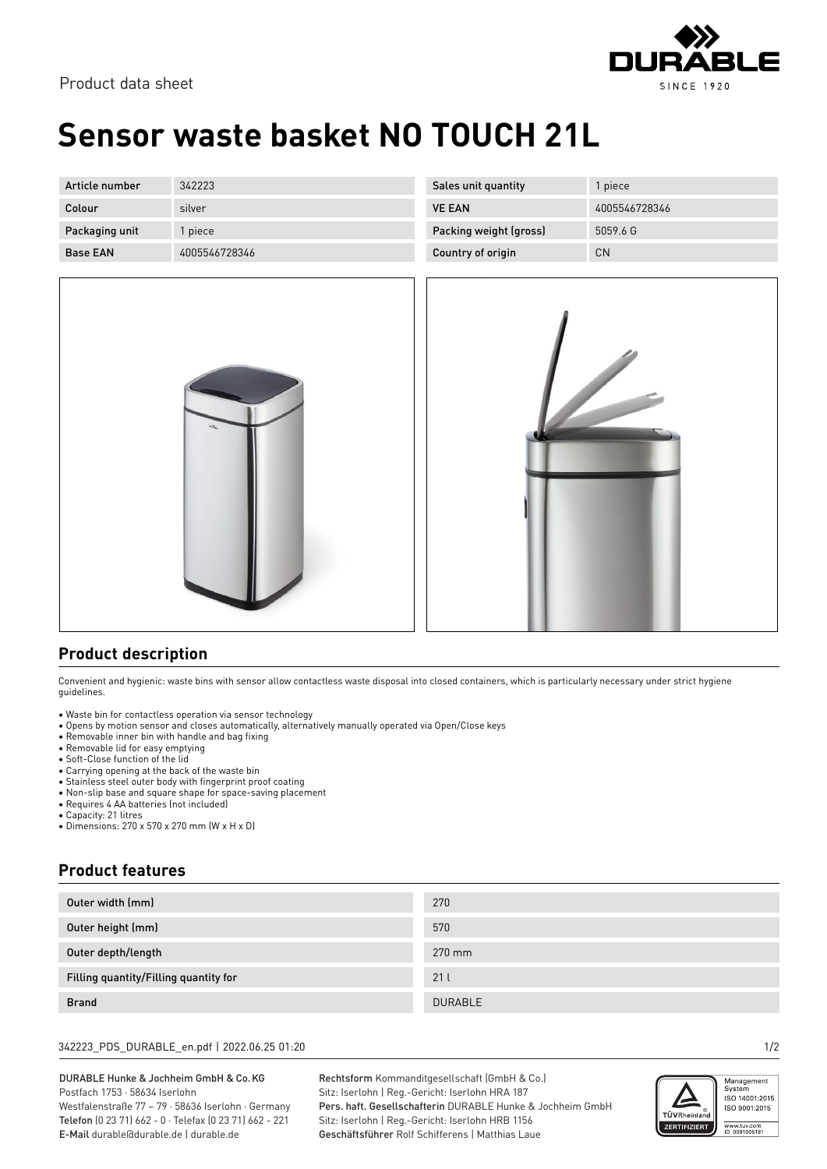

# **Sensor waste basket NO TOUCH 21L**

| Article number  | 342223        | Sales unit quantity    | piece         |
|-----------------|---------------|------------------------|---------------|
| Colour          | silver        | <b>VE EAN</b>          | 4005546728346 |
| Packaging unit  | l piece       | Packing weight (gross) | 5059.6 G      |
| <b>Base EAN</b> | 4005546728346 | Country of origin      | <b>CN</b>     |



### **Product description**

Convenient and hygienic: waste bins with sensor allow contactless waste disposal into closed containers, which is particularly necessary under strict hygiene guidelines.

• Waste bin for contactless operation via sensor technology

- Opens by motion sensor and closes automatically, alternatively manually operated via Open/Close keys
- Removable inner bin with handle and bag fixing
- Removable lid for easy emptying
- Soft-Close function of the lid
- Carrying opening at the back of the waste bin • Stainless steel outer body with fingerprint proof coating
- Non-slip base and square shape for space-saving placement
- Requires 4 AA batteries (not included)
- Capacity: 21 litres
- Dimensions: 270 x 570 x 270 mm (W x H x D)

### **Product features**

| Outer width (mm)                      | 270            |
|---------------------------------------|----------------|
| Outer height (mm)                     | 570            |
| Outer depth/length                    | 270 mm         |
| Filling quantity/Filling quantity for | 21l            |
| <b>Brand</b>                          | <b>DURABLE</b> |

#### 342223\_PDS\_DURABLE\_en.pdf | 2022.06.25 01:20 1/2

DURABLE Hunke & Jochheim GmbH & Co.KG Postfach 1753 · 58634 Iserlohn Westfalenstraße 77 – 79 · 58636 Iserlohn · Germany Telefon (0 23 71) 662 - 0 · Telefax (0 23 71) 662 - 221 E-Mail durable@durable.de | durable.de

Rechtsform Kommanditgesellschaft (GmbH & Co.) Sitz: Iserlohn | Reg.-Gericht: Iserlohn HRA 187 Pers. haft. Gesellschafterin DURABLE Hunke & Jochheim GmbH Sitz: Iserlohn | Reg.-Gericht: Iserlohn HRB 1156 Geschäftsführer Rolf Schifferens | Matthias Laue